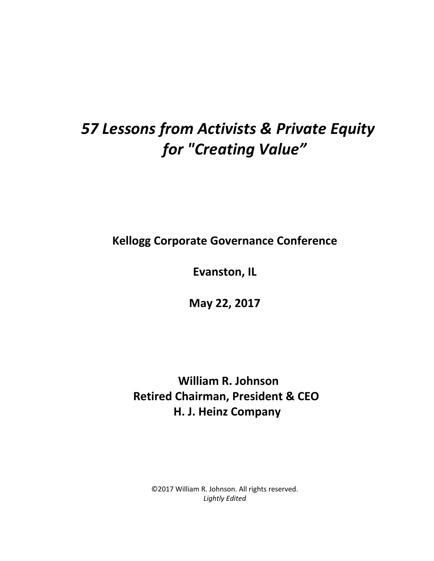## *57 Lessons from Activists & Private Equity for "Creating Value"*

**Kellogg Corporate Governance Conference** 

**Evanston, IL** 

**May 22, 2017** 

 **William R. Johnson Retired Chairman, President & CEO H. J. Heinz Company**

©2017 William R. Johnson. All rights reserved. *Lightly Edited*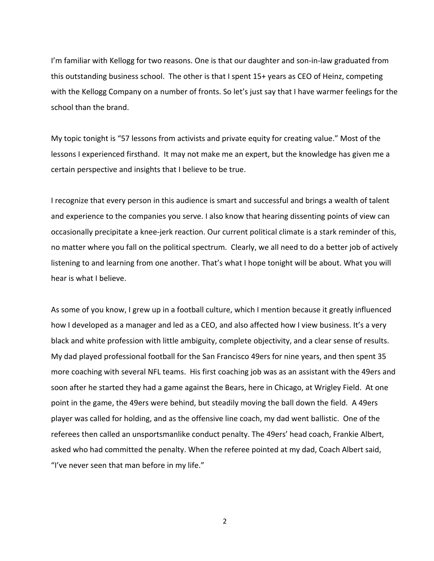I'm familiar with Kellogg for two reasons. One is that our daughter and son-in-law graduated from this outstanding business school. The other is that I spent 15+ years as CEO of Heinz, competing with the Kellogg Company on a number of fronts. So let's just say that I have warmer feelings for the school than the brand.

My topic tonight is "57 lessons from activists and private equity for creating value." Most of the lessons I experienced firsthand. It may not make me an expert, but the knowledge has given me a certain perspective and insights that I believe to be true.

I recognize that every person in this audience is smart and successful and brings a wealth of talent and experience to the companies you serve. I also know that hearing dissenting points of view can occasionally precipitate a knee-jerk reaction. Our current political climate is a stark reminder of this, no matter where you fall on the political spectrum. Clearly, we all need to do a better job of actively listening to and learning from one another. That's what I hope tonight will be about. What you will hear is what I believe.

As some of you know, I grew up in a football culture, which I mention because it greatly influenced how I developed as a manager and led as a CEO, and also affected how I view business. It's a very black and white profession with little ambiguity, complete objectivity, and a clear sense of results. My dad played professional football for the San Francisco 49ers for nine years, and then spent 35 more coaching with several NFL teams. His first coaching job was as an assistant with the 49ers and soon after he started they had a game against the Bears, here in Chicago, at Wrigley Field. At one point in the game, the 49ers were behind, but steadily moving the ball down the field. A 49ers player was called for holding, and as the offensive line coach, my dad went ballistic. One of the referees then called an unsportsmanlike conduct penalty. The 49ers' head coach, Frankie Albert, asked who had committed the penalty. When the referee pointed at my dad, Coach Albert said, "I've never seen that man before in my life."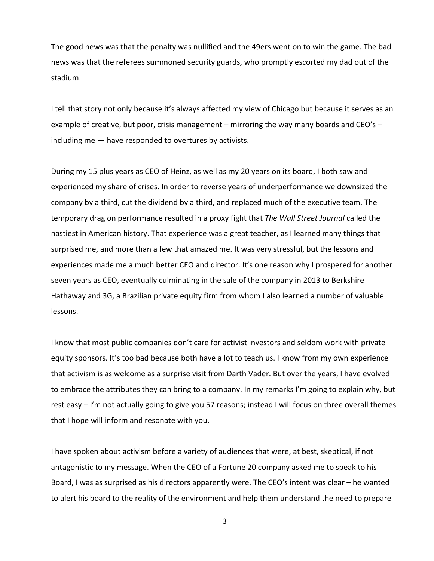The good news was that the penalty was nullified and the 49ers went on to win the game. The bad news was that the referees summoned security guards, who promptly escorted my dad out of the stadium.

I tell that story not only because it's always affected my view of Chicago but because it serves as an example of creative, but poor, crisis management – mirroring the way many boards and CEO's – including me — have responded to overtures by activists.

During my 15 plus years as CEO of Heinz, as well as my 20 years on its board, I both saw and experienced my share of crises. In order to reverse years of underperformance we downsized the company by a third, cut the dividend by a third, and replaced much of the executive team. The temporary drag on performance resulted in a proxy fight that *The Wall Street Journal* called the nastiest in American history. That experience was a great teacher, as I learned many things that surprised me, and more than a few that amazed me. It was very stressful, but the lessons and experiences made me a much better CEO and director. It's one reason why I prospered for another seven years as CEO, eventually culminating in the sale of the company in 2013 to Berkshire Hathaway and 3G, a Brazilian private equity firm from whom I also learned a number of valuable lessons.

I know that most public companies don't care for activist investors and seldom work with private equity sponsors. It's too bad because both have a lot to teach us. I know from my own experience that activism is as welcome as a surprise visit from Darth Vader. But over the years, I have evolved to embrace the attributes they can bring to a company. In my remarks I'm going to explain why, but rest easy – I'm not actually going to give you 57 reasons; instead I will focus on three overall themes that I hope will inform and resonate with you.

I have spoken about activism before a variety of audiences that were, at best, skeptical, if not antagonistic to my message. When the CEO of a Fortune 20 company asked me to speak to his Board, I was as surprised as his directors apparently were. The CEO's intent was clear – he wanted to alert his board to the reality of the environment and help them understand the need to prepare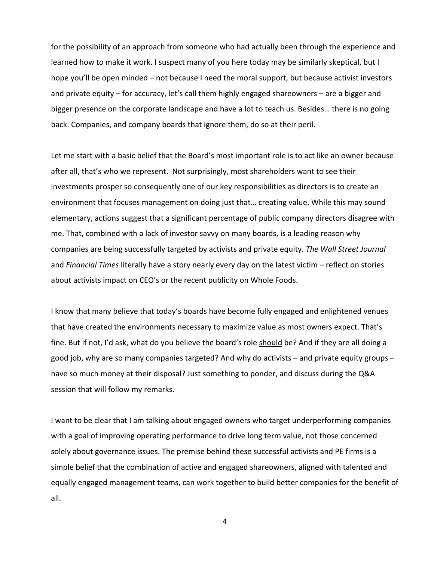for the possibility of an approach from someone who had actually been through the experience and learned how to make it work. I suspect many of you here today may be similarly skeptical, but I hope you'll be open minded – not because I need the moral support, but because activist investors and private equity – for accuracy, let's call them highly engaged shareowners – are a bigger and bigger presence on the corporate landscape and have a lot to teach us. Besides… there is no going back. Companies, and company boards that ignore them, do so at their peril.

Let me start with a basic belief that the Board's most important role is to act like an owner because after all, that's who we represent. Not surprisingly, most shareholders want to see their investments prosper so consequently one of our key responsibilities as directors is to create an environment that focuses management on doing just that… creating value. While this may sound elementary, actions suggest that a significant percentage of public company directors disagree with me. That, combined with a lack of investor savvy on many boards, is a leading reason why companies are being successfully targeted by activists and private equity. *The Wall Street Journal* and *Financial Times* literally have a story nearly every day on the latest victim – reflect on stories about activists impact on CEO's or the recent publicity on Whole Foods.

I know that many believe that today's boards have become fully engaged and enlightened venues that have created the environments necessary to maximize value as most owners expect. That's fine. But if not, I'd ask, what do you believe the board's role should be? And if they are all doing a good job, why are so many companies targeted? And why do activists – and private equity groups – have so much money at their disposal? Just something to ponder, and discuss during the Q&A session that will follow my remarks.

I want to be clear that I am talking about engaged owners who target underperforming companies with a goal of improving operating performance to drive long term value, not those concerned solely about governance issues. The premise behind these successful activists and PE firms is a simple belief that the combination of active and engaged shareowners, aligned with talented and equally engaged management teams, can work together to build better companies for the benefit of all.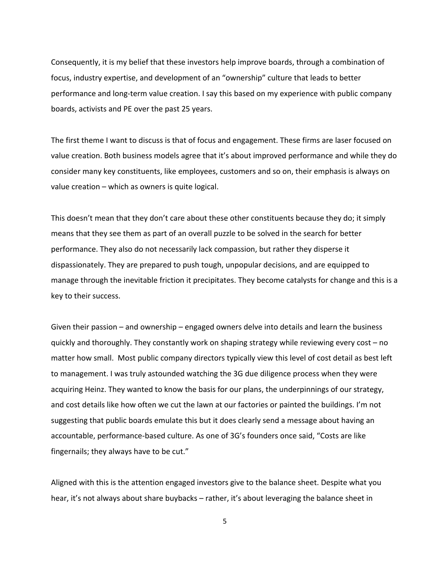Consequently, it is my belief that these investors help improve boards, through a combination of focus, industry expertise, and development of an "ownership" culture that leads to better performance and long-term value creation. I say this based on my experience with public company boards, activists and PE over the past 25 years.

The first theme I want to discuss is that of focus and engagement. These firms are laser focused on value creation. Both business models agree that it's about improved performance and while they do consider many key constituents, like employees, customers and so on, their emphasis is always on value creation – which as owners is quite logical.

This doesn't mean that they don't care about these other constituents because they do; it simply means that they see them as part of an overall puzzle to be solved in the search for better performance. They also do not necessarily lack compassion, but rather they disperse it dispassionately. They are prepared to push tough, unpopular decisions, and are equipped to manage through the inevitable friction it precipitates. They become catalysts for change and this is a key to their success.

Given their passion – and ownership – engaged owners delve into details and learn the business quickly and thoroughly. They constantly work on shaping strategy while reviewing every cost – no matter how small. Most public company directors typically view this level of cost detail as best left to management. I was truly astounded watching the 3G due diligence process when they were acquiring Heinz. They wanted to know the basis for our plans, the underpinnings of our strategy, and cost details like how often we cut the lawn at our factories or painted the buildings. I'm not suggesting that public boards emulate this but it does clearly send a message about having an accountable, performance-based culture. As one of 3G's founders once said, "Costs are like fingernails; they always have to be cut."

Aligned with this is the attention engaged investors give to the balance sheet. Despite what you hear, it's not always about share buybacks – rather, it's about leveraging the balance sheet in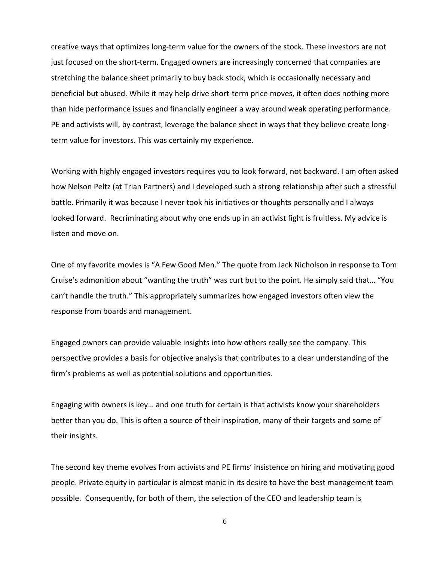creative ways that optimizes long-term value for the owners of the stock. These investors are not just focused on the short-term. Engaged owners are increasingly concerned that companies are stretching the balance sheet primarily to buy back stock, which is occasionally necessary and beneficial but abused. While it may help drive short-term price moves, it often does nothing more than hide performance issues and financially engineer a way around weak operating performance. PE and activists will, by contrast, leverage the balance sheet in ways that they believe create longterm value for investors. This was certainly my experience.

Working with highly engaged investors requires you to look forward, not backward. I am often asked how Nelson Peltz (at Trian Partners) and I developed such a strong relationship after such a stressful battle. Primarily it was because I never took his initiatives or thoughts personally and I always looked forward. Recriminating about why one ends up in an activist fight is fruitless. My advice is listen and move on.

One of my favorite movies is "A Few Good Men." The quote from Jack Nicholson in response to Tom Cruise's admonition about "wanting the truth" was curt but to the point. He simply said that… "You can't handle the truth." This appropriately summarizes how engaged investors often view the response from boards and management.

Engaged owners can provide valuable insights into how others really see the company. This perspective provides a basis for objective analysis that contributes to a clear understanding of the firm's problems as well as potential solutions and opportunities.

Engaging with owners is key… and one truth for certain is that activists know your shareholders better than you do. This is often a source of their inspiration, many of their targets and some of their insights.

The second key theme evolves from activists and PE firms' insistence on hiring and motivating good people. Private equity in particular is almost manic in its desire to have the best management team possible. Consequently, for both of them, the selection of the CEO and leadership team is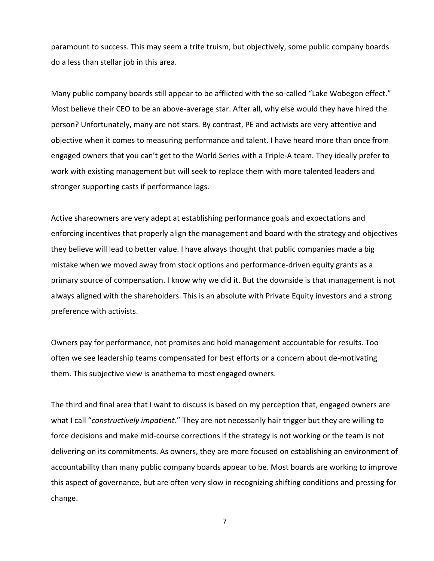paramount to success. This may seem a trite truism, but objectively, some public company boards do a less than stellar job in this area.

Many public company boards still appear to be afflicted with the so-called "Lake Wobegon effect." Most believe their CEO to be an above-average star. After all, why else would they have hired the person? Unfortunately, many are not stars. By contrast, PE and activists are very attentive and objective when it comes to measuring performance and talent. I have heard more than once from engaged owners that you can't get to the World Series with a Triple-A team. They ideally prefer to work with existing management but will seek to replace them with more talented leaders and stronger supporting casts if performance lags.

Active shareowners are very adept at establishing performance goals and expectations and enforcing incentives that properly align the management and board with the strategy and objectives they believe will lead to better value. I have always thought that public companies made a big mistake when we moved away from stock options and performance-driven equity grants as a primary source of compensation. I know why we did it. But the downside is that management is not always aligned with the shareholders. This is an absolute with Private Equity investors and a strong preference with activists.

Owners pay for performance, not promises and hold management accountable for results. Too often we see leadership teams compensated for best efforts or a concern about de-motivating them. This subjective view is anathema to most engaged owners.

The third and final area that I want to discuss is based on my perception that, engaged owners are what I call "*constructively impatient*." They are not necessarily hair trigger but they are willing to force decisions and make mid-course corrections if the strategy is not working or the team is not delivering on its commitments. As owners, they are more focused on establishing an environment of accountability than many public company boards appear to be. Most boards are working to improve this aspect of governance, but are often very slow in recognizing shifting conditions and pressing for change.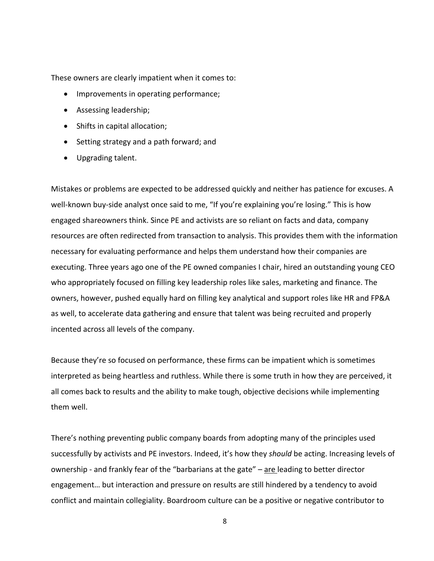These owners are clearly impatient when it comes to:

- Improvements in operating performance;
- Assessing leadership;
- Shifts in capital allocation;
- Setting strategy and a path forward; and
- Upgrading talent.

Mistakes or problems are expected to be addressed quickly and neither has patience for excuses. A well-known buy-side analyst once said to me, "If you're explaining you're losing." This is how engaged shareowners think. Since PE and activists are so reliant on facts and data, company resources are often redirected from transaction to analysis. This provides them with the information necessary for evaluating performance and helps them understand how their companies are executing. Three years ago one of the PE owned companies I chair, hired an outstanding young CEO who appropriately focused on filling key leadership roles like sales, marketing and finance. The owners, however, pushed equally hard on filling key analytical and support roles like HR and FP&A as well, to accelerate data gathering and ensure that talent was being recruited and properly incented across all levels of the company.

Because they're so focused on performance, these firms can be impatient which is sometimes interpreted as being heartless and ruthless. While there is some truth in how they are perceived, it all comes back to results and the ability to make tough, objective decisions while implementing them well.

There's nothing preventing public company boards from adopting many of the principles used successfully by activists and PE investors. Indeed, it's how they *should* be acting. Increasing levels of ownership - and frankly fear of the "barbarians at the gate" – are leading to better director engagement… but interaction and pressure on results are still hindered by a tendency to avoid conflict and maintain collegiality. Boardroom culture can be a positive or negative contributor to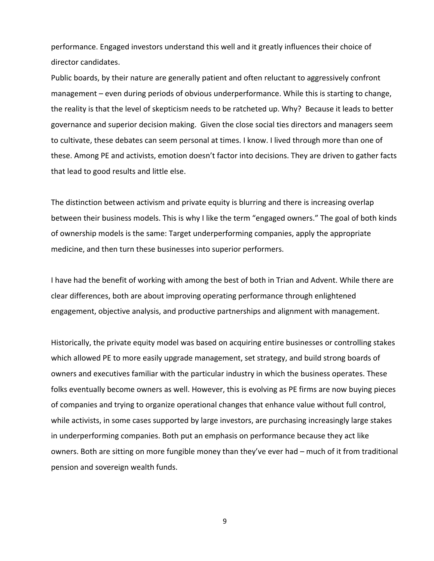performance. Engaged investors understand this well and it greatly influences their choice of director candidates.

Public boards, by their nature are generally patient and often reluctant to aggressively confront management – even during periods of obvious underperformance. While this is starting to change, the reality is that the level of skepticism needs to be ratcheted up. Why? Because it leads to better governance and superior decision making. Given the close social ties directors and managers seem to cultivate, these debates can seem personal at times. I know. I lived through more than one of these. Among PE and activists, emotion doesn't factor into decisions. They are driven to gather facts that lead to good results and little else.

The distinction between activism and private equity is blurring and there is increasing overlap between their business models. This is why I like the term "engaged owners." The goal of both kinds of ownership models is the same: Target underperforming companies, apply the appropriate medicine, and then turn these businesses into superior performers.

I have had the benefit of working with among the best of both in Trian and Advent. While there are clear differences, both are about improving operating performance through enlightened engagement, objective analysis, and productive partnerships and alignment with management.

Historically, the private equity model was based on acquiring entire businesses or controlling stakes which allowed PE to more easily upgrade management, set strategy, and build strong boards of owners and executives familiar with the particular industry in which the business operates. These folks eventually become owners as well. However, this is evolving as PE firms are now buying pieces of companies and trying to organize operational changes that enhance value without full control, while activists, in some cases supported by large investors, are purchasing increasingly large stakes in underperforming companies. Both put an emphasis on performance because they act like owners. Both are sitting on more fungible money than they've ever had – much of it from traditional pension and sovereign wealth funds.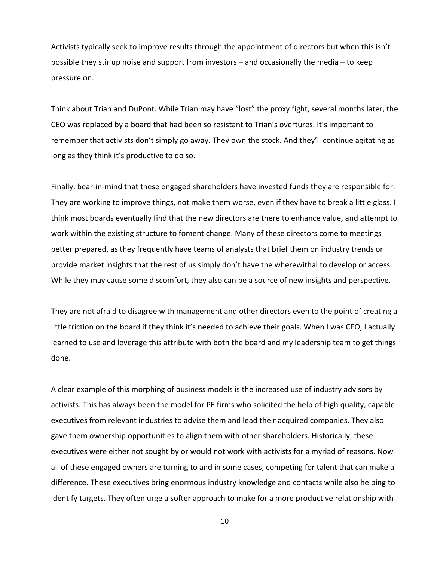Activists typically seek to improve results through the appointment of directors but when this isn't possible they stir up noise and support from investors – and occasionally the media – to keep pressure on.

Think about Trian and DuPont. While Trian may have "lost" the proxy fight, several months later, the CEO was replaced by a board that had been so resistant to Trian's overtures. It's important to remember that activists don't simply go away. They own the stock. And they'll continue agitating as long as they think it's productive to do so.

Finally, bear-in-mind that these engaged shareholders have invested funds they are responsible for. They are working to improve things, not make them worse, even if they have to break a little glass. I think most boards eventually find that the new directors are there to enhance value, and attempt to work within the existing structure to foment change. Many of these directors come to meetings better prepared, as they frequently have teams of analysts that brief them on industry trends or provide market insights that the rest of us simply don't have the wherewithal to develop or access. While they may cause some discomfort, they also can be a source of new insights and perspective.

They are not afraid to disagree with management and other directors even to the point of creating a little friction on the board if they think it's needed to achieve their goals. When I was CEO, I actually learned to use and leverage this attribute with both the board and my leadership team to get things done.

A clear example of this morphing of business models is the increased use of industry advisors by activists. This has always been the model for PE firms who solicited the help of high quality, capable executives from relevant industries to advise them and lead their acquired companies. They also gave them ownership opportunities to align them with other shareholders. Historically, these executives were either not sought by or would not work with activists for a myriad of reasons. Now all of these engaged owners are turning to and in some cases, competing for talent that can make a difference. These executives bring enormous industry knowledge and contacts while also helping to identify targets. They often urge a softer approach to make for a more productive relationship with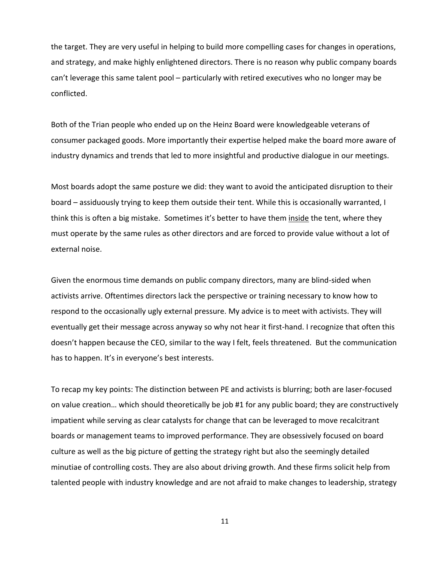the target. They are very useful in helping to build more compelling cases for changes in operations, and strategy, and make highly enlightened directors. There is no reason why public company boards can't leverage this same talent pool – particularly with retired executives who no longer may be conflicted.

Both of the Trian people who ended up on the Heinz Board were knowledgeable veterans of consumer packaged goods. More importantly their expertise helped make the board more aware of industry dynamics and trends that led to more insightful and productive dialogue in our meetings.

Most boards adopt the same posture we did: they want to avoid the anticipated disruption to their board – assiduously trying to keep them outside their tent. While this is occasionally warranted, I think this is often a big mistake. Sometimes it's better to have them inside the tent, where they must operate by the same rules as other directors and are forced to provide value without a lot of external noise.

Given the enormous time demands on public company directors, many are blind-sided when activists arrive. Oftentimes directors lack the perspective or training necessary to know how to respond to the occasionally ugly external pressure. My advice is to meet with activists. They will eventually get their message across anyway so why not hear it first-hand. I recognize that often this doesn't happen because the CEO, similar to the way I felt, feels threatened. But the communication has to happen. It's in everyone's best interests.

To recap my key points: The distinction between PE and activists is blurring; both are laser-focused on value creation… which should theoretically be job #1 for any public board; they are constructively impatient while serving as clear catalysts for change that can be leveraged to move recalcitrant boards or management teams to improved performance. They are obsessively focused on board culture as well as the big picture of getting the strategy right but also the seemingly detailed minutiae of controlling costs. They are also about driving growth. And these firms solicit help from talented people with industry knowledge and are not afraid to make changes to leadership, strategy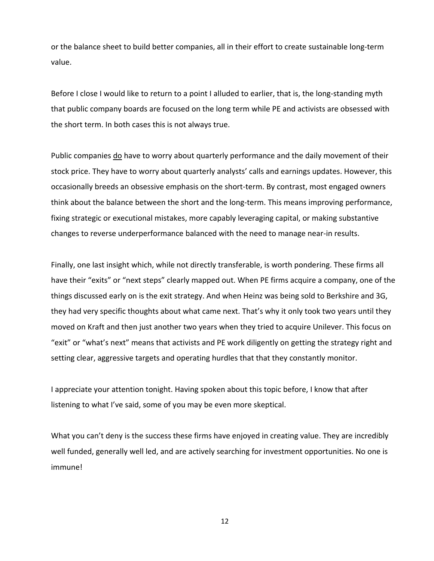or the balance sheet to build better companies, all in their effort to create sustainable long-term value.

Before I close I would like to return to a point I alluded to earlier, that is, the long-standing myth that public company boards are focused on the long term while PE and activists are obsessed with the short term. In both cases this is not always true.

Public companies do have to worry about quarterly performance and the daily movement of their stock price. They have to worry about quarterly analysts' calls and earnings updates. However, this occasionally breeds an obsessive emphasis on the short-term. By contrast, most engaged owners think about the balance between the short and the long-term. This means improving performance, fixing strategic or executional mistakes, more capably leveraging capital, or making substantive changes to reverse underperformance balanced with the need to manage near-in results.

Finally, one last insight which, while not directly transferable, is worth pondering. These firms all have their "exits" or "next steps" clearly mapped out. When PE firms acquire a company, one of the things discussed early on is the exit strategy. And when Heinz was being sold to Berkshire and 3G, they had very specific thoughts about what came next. That's why it only took two years until they moved on Kraft and then just another two years when they tried to acquire Unilever. This focus on "exit" or "what's next" means that activists and PE work diligently on getting the strategy right and setting clear, aggressive targets and operating hurdles that that they constantly monitor.

I appreciate your attention tonight. Having spoken about this topic before, I know that after listening to what I've said, some of you may be even more skeptical.

What you can't deny is the success these firms have enjoyed in creating value. They are incredibly well funded, generally well led, and are actively searching for investment opportunities. No one is immune!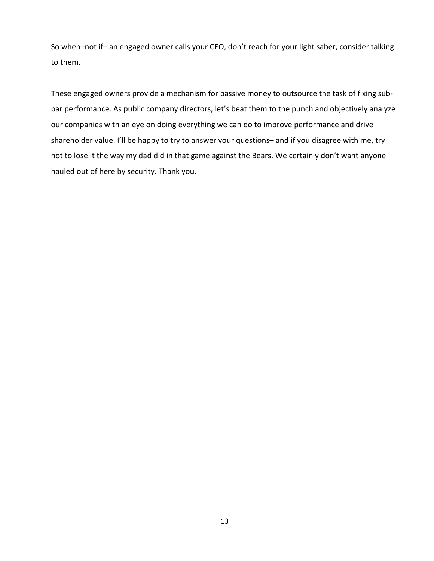So when–not if– an engaged owner calls your CEO, don't reach for your light saber, consider talking to them.

These engaged owners provide a mechanism for passive money to outsource the task of fixing subpar performance. As public company directors, let's beat them to the punch and objectively analyze our companies with an eye on doing everything we can do to improve performance and drive shareholder value. I'll be happy to try to answer your questions– and if you disagree with me, try not to lose it the way my dad did in that game against the Bears. We certainly don't want anyone hauled out of here by security. Thank you.